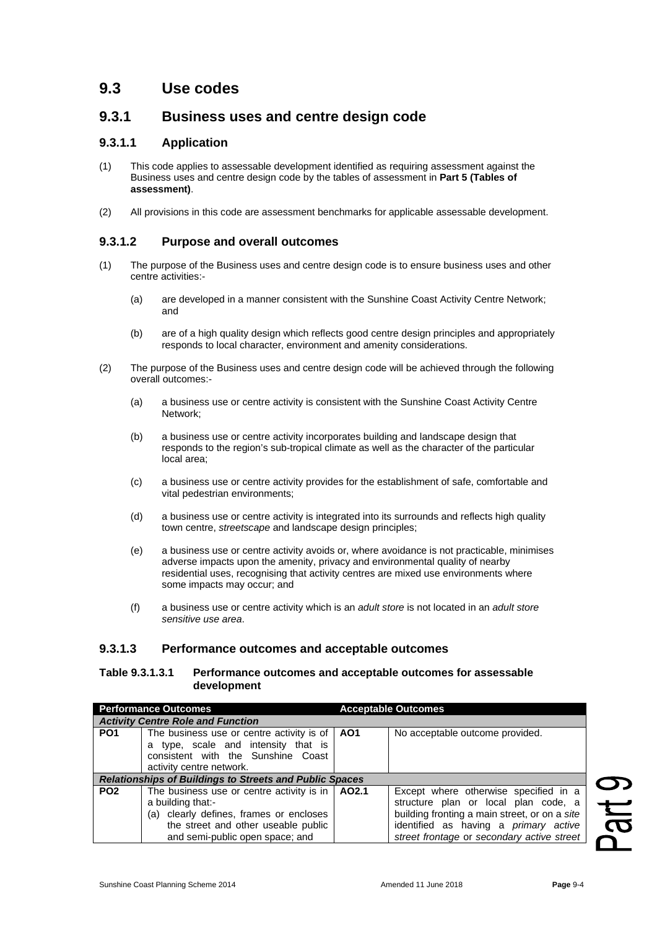# **9.3 Use codes**

# **9.3.1 Business uses and centre design code**

#### **9.3.1.1 Application**

- (1) This code applies to assessable development identified as requiring assessment against the Business uses and centre design code by the tables of assessment in **Part 5 (Tables of assessment)**.
- (2) All provisions in this code are assessment benchmarks for applicable assessable development.

## **9.3.1.2 Purpose and overall outcomes**

- (1) The purpose of the Business uses and centre design code is to ensure business uses and other centre activities:-
	- (a) are developed in a manner consistent with the Sunshine Coast Activity Centre Network; and
	- (b) are of a high quality design which reflects good centre design principles and appropriately responds to local character, environment and amenity considerations.
- (2) The purpose of the Business uses and centre design code will be achieved through the following overall outcomes:-
	- (a) a business use or centre activity is consistent with the Sunshine Coast Activity Centre Network;
	- (b) a business use or centre activity incorporates building and landscape design that responds to the region's sub-tropical climate as well as the character of the particular local area;
	- (c) a business use or centre activity provides for the establishment of safe, comfortable and vital pedestrian environments;
	- (d) a business use or centre activity is integrated into its surrounds and reflects high quality town centre, *streetscape* and landscape design principles;
	- (e) a business use or centre activity avoids or, where avoidance is not practicable, minimises adverse impacts upon the amenity, privacy and environmental quality of nearby residential uses, recognising that activity centres are mixed use environments where some impacts may occur; and
	- (f) a business use or centre activity which is an *adult store* is not located in an *adult store sensitive use area*.

### **9.3.1.3 Performance outcomes and acceptable outcomes**

#### **Table 9.3.1.3.1 Performance outcomes and acceptable outcomes for assessable development**

| <b>Performance Outcomes</b>                                    |                                                                                                                                                                                                   | <b>Acceptable Outcomes</b> |                                                                                                                                                                                                                       |
|----------------------------------------------------------------|---------------------------------------------------------------------------------------------------------------------------------------------------------------------------------------------------|----------------------------|-----------------------------------------------------------------------------------------------------------------------------------------------------------------------------------------------------------------------|
| <b>Activity Centre Role and Function</b>                       |                                                                                                                                                                                                   |                            |                                                                                                                                                                                                                       |
| PO <sub>1</sub>                                                | The business use or centre activity is of   AO1                                                                                                                                                   |                            | No acceptable outcome provided.                                                                                                                                                                                       |
|                                                                | a type, scale and intensity that is<br>consistent with the Sunshine Coast<br>activity centre network.                                                                                             |                            |                                                                                                                                                                                                                       |
| <b>Relationships of Buildings to Streets and Public Spaces</b> |                                                                                                                                                                                                   |                            |                                                                                                                                                                                                                       |
| PO <sub>2</sub>                                                | The business use or centre activity is in $\vert$ AO2.1<br>a building that:-<br>(a) clearly defines, frames or encloses<br>the street and other useable public<br>and semi-public open space; and |                            | Except where otherwise specified in a<br>structure plan or local plan code, a<br>building fronting a main street, or on a site<br>identified as having a primary active<br>street frontage or secondary active street |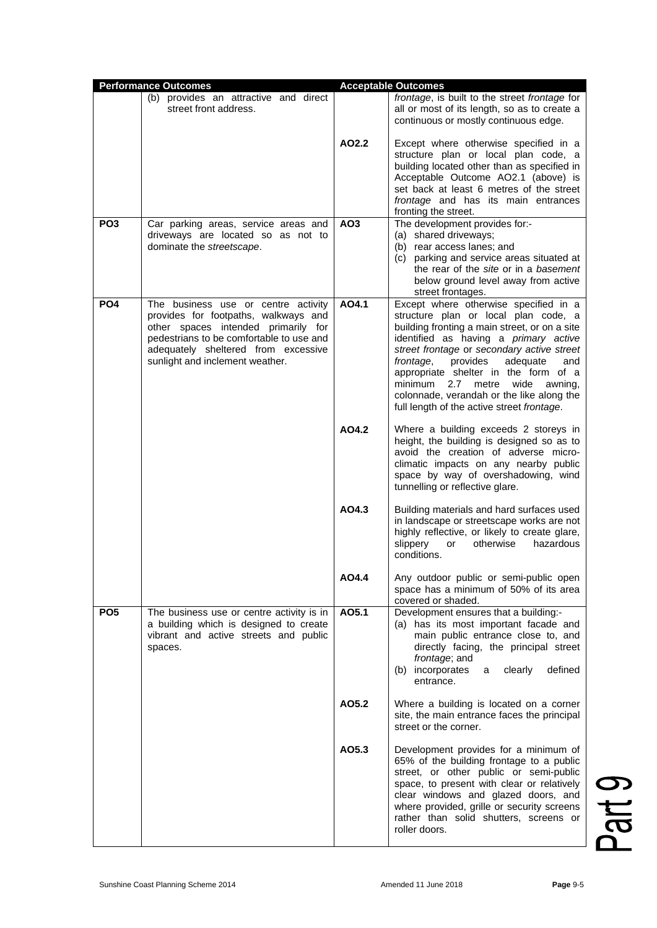|                 | <b>Performance Outcomes</b>                                                                                                                                                                                                              |                 | <b>Acceptable Outcomes</b>                                                                                                                                                                                                                                                                                                                                                                                                                         |
|-----------------|------------------------------------------------------------------------------------------------------------------------------------------------------------------------------------------------------------------------------------------|-----------------|----------------------------------------------------------------------------------------------------------------------------------------------------------------------------------------------------------------------------------------------------------------------------------------------------------------------------------------------------------------------------------------------------------------------------------------------------|
|                 | (b) provides an attractive and direct<br>street front address.                                                                                                                                                                           |                 | frontage, is built to the street frontage for<br>all or most of its length, so as to create a<br>continuous or mostly continuous edge.                                                                                                                                                                                                                                                                                                             |
|                 |                                                                                                                                                                                                                                          | AO2.2           | Except where otherwise specified in a<br>structure plan or local plan code, a<br>building located other than as specified in<br>Acceptable Outcome AO2.1 (above) is<br>set back at least 6 metres of the street<br>frontage and has its main entrances<br>fronting the street.                                                                                                                                                                     |
| PO <sub>3</sub> | Car parking areas, service areas and<br>driveways are located so as not to<br>dominate the streetscape.                                                                                                                                  | AO <sub>3</sub> | The development provides for:-<br>(a) shared driveways;<br>(b) rear access lanes; and<br>(c) parking and service areas situated at<br>the rear of the site or in a basement<br>below ground level away from active<br>street frontages.                                                                                                                                                                                                            |
| PO <sub>4</sub> | The business use or centre activity<br>provides for footpaths, walkways and<br>other spaces intended primarily for<br>pedestrians to be comfortable to use and<br>adequately sheltered from excessive<br>sunlight and inclement weather. | AO4.1           | Except where otherwise specified in a<br>structure plan or local plan code, a<br>building fronting a main street, or on a site<br>identified as having a primary active<br>street frontage or secondary active street<br>frontage,<br>provides<br>adequate<br>and<br>appropriate shelter in the form of a<br>minimum<br>2.7<br>wide<br>awning.<br>metre<br>colonnade, verandah or the like along the<br>full length of the active street frontage. |
|                 |                                                                                                                                                                                                                                          | AO4.2           | Where a building exceeds 2 storeys in<br>height, the building is designed so as to<br>avoid the creation of adverse micro-<br>climatic impacts on any nearby public<br>space by way of overshadowing, wind<br>tunnelling or reflective glare.                                                                                                                                                                                                      |
|                 |                                                                                                                                                                                                                                          | AO4.3           | Building materials and hard surfaces used<br>in landscape or streetscape works are not<br>highly reflective, or likely to create glare,<br>slippery<br>otherwise<br>hazardous<br>or<br>conditions.                                                                                                                                                                                                                                                 |
|                 |                                                                                                                                                                                                                                          | AO4.4           | Any outdoor public or semi-public open<br>space has a minimum of 50% of its area<br>covered or shaded.                                                                                                                                                                                                                                                                                                                                             |
| PO <sub>5</sub> | The business use or centre activity is in<br>a building which is designed to create<br>vibrant and active streets and public<br>spaces.                                                                                                  | AO5.1           | Development ensures that a building:-<br>(a) has its most important facade and<br>main public entrance close to, and<br>directly facing, the principal street<br>frontage; and<br>(b) incorporates<br>clearly<br>defined<br>a<br>entrance.                                                                                                                                                                                                         |
|                 |                                                                                                                                                                                                                                          | AO5.2           | Where a building is located on a corner<br>site, the main entrance faces the principal<br>street or the corner.                                                                                                                                                                                                                                                                                                                                    |
|                 |                                                                                                                                                                                                                                          | AO5.3           | Development provides for a minimum of<br>65% of the building frontage to a public<br>street, or other public or semi-public<br>space, to present with clear or relatively<br>clear windows and glazed doors, and<br>where provided, grille or security screens<br>rather than solid shutters, screens or<br>roller doors.                                                                                                                          |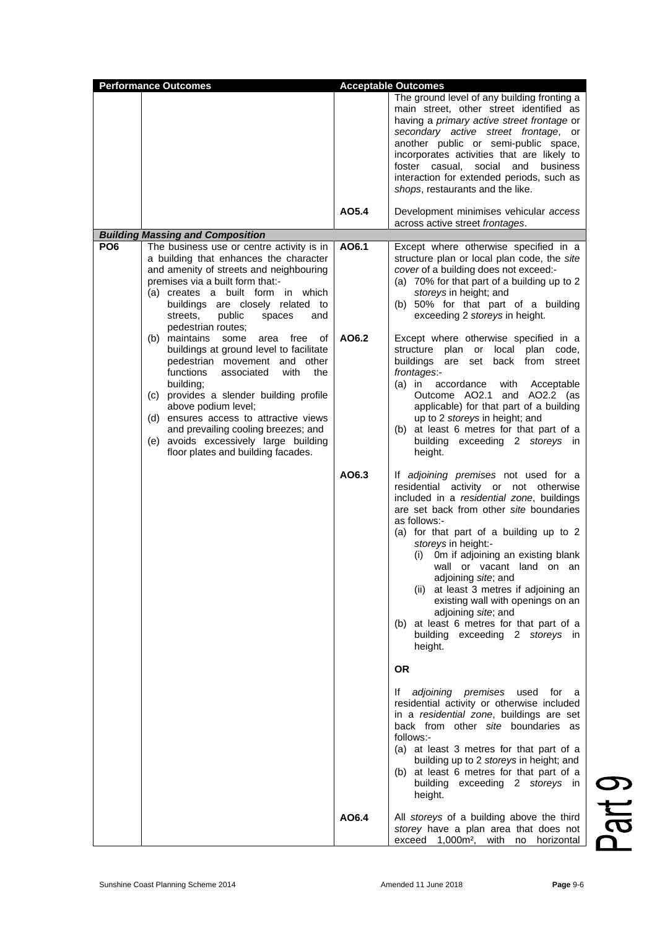| <b>Performance Outcomes</b> |                                                                                                                                                                                                                                                                                                                                                                                                                  | <b>Acceptable Outcomes</b> |                                                                                                                                                                                                                                                                                                                                                                                                                                                                                                                                                         |
|-----------------------------|------------------------------------------------------------------------------------------------------------------------------------------------------------------------------------------------------------------------------------------------------------------------------------------------------------------------------------------------------------------------------------------------------------------|----------------------------|---------------------------------------------------------------------------------------------------------------------------------------------------------------------------------------------------------------------------------------------------------------------------------------------------------------------------------------------------------------------------------------------------------------------------------------------------------------------------------------------------------------------------------------------------------|
|                             |                                                                                                                                                                                                                                                                                                                                                                                                                  |                            | The ground level of any building fronting a<br>main street, other street identified as<br>having a <i>primary</i> active street frontage or<br>secondary active street frontage, or<br>another public or semi-public space,<br>incorporates activities that are likely to<br>foster casual, social and<br>business<br>interaction for extended periods, such as<br>shops, restaurants and the like.                                                                                                                                                     |
|                             |                                                                                                                                                                                                                                                                                                                                                                                                                  | AO5.4                      | Development minimises vehicular access<br>across active street frontages.                                                                                                                                                                                                                                                                                                                                                                                                                                                                               |
| PO <sub>6</sub>             | <b>Building Massing and Composition</b><br>The business use or centre activity is in                                                                                                                                                                                                                                                                                                                             | AO6.1                      | Except where otherwise specified in a                                                                                                                                                                                                                                                                                                                                                                                                                                                                                                                   |
|                             | a building that enhances the character<br>and amenity of streets and neighbouring<br>premises via a built form that:-<br>(a) creates a built form in which<br>buildings are closely related to<br>public<br>streets,<br>and<br>spaces<br>pedestrian routes;                                                                                                                                                      |                            | structure plan or local plan code, the site<br>cover of a building does not exceed:-<br>(a) 70% for that part of a building up to 2<br>storeys in height; and<br>(b) 50% for that part of a building<br>exceeding 2 storeys in height.                                                                                                                                                                                                                                                                                                                  |
|                             | (b) maintains<br>some<br>free<br>οf<br>area<br>buildings at ground level to facilitate<br>pedestrian movement and other<br>functions<br>with<br>the<br>associated<br>building;<br>(c) provides a slender building profile<br>above podium level;<br>(d) ensures access to attractive views<br>and prevailing cooling breezes; and<br>(e) avoids excessively large building<br>floor plates and building facades. | AO6.2                      | Except where otherwise specified in a<br>structure plan or<br>local<br>plan<br>code,<br>buildings are set back from<br>street<br>frontages:-<br>with<br>$(a)$ in<br>accordance<br>Acceptable<br>Outcome AO2.1<br>and AO2.2 (as<br>applicable) for that part of a building<br>up to 2 storeys in height; and<br>at least 6 metres for that part of a<br>(b)<br>building exceeding 2 storeys in<br>height.                                                                                                                                                |
|                             |                                                                                                                                                                                                                                                                                                                                                                                                                  | AO6.3                      | If adjoining premises not used for a<br>residential activity or not otherwise<br>included in a residential zone, buildings<br>are set back from other site boundaries<br>as follows:-<br>(a) for that part of a building up to 2<br>storeys in height:-<br>Om if adjoining an existing blank<br>(i)<br>wall or vacant land on an<br>adjoining site; and<br>(ii) at least 3 metres if adjoining an<br>existing wall with openings on an<br>adjoining site; and<br>(b) at least 6 metres for that part of a<br>building exceeding 2 storeys in<br>height. |
|                             |                                                                                                                                                                                                                                                                                                                                                                                                                  |                            | <b>OR</b><br>adjoining premises<br>lf.<br>used<br>for<br>- a<br>residential activity or otherwise included<br>in a residential zone, buildings are set<br>back from other site boundaries as<br>follows:-<br>(a) at least 3 metres for that part of a<br>building up to 2 storeys in height; and<br>(b) at least 6 metres for that part of a<br>building exceeding 2 storeys in<br>height.                                                                                                                                                              |
|                             |                                                                                                                                                                                                                                                                                                                                                                                                                  | AO6.4                      | All storeys of a building above the third<br>storey have a plan area that does not<br>exceed<br>1,000m <sup>2</sup> ,<br>with<br>horizontal<br>no                                                                                                                                                                                                                                                                                                                                                                                                       |

Part 9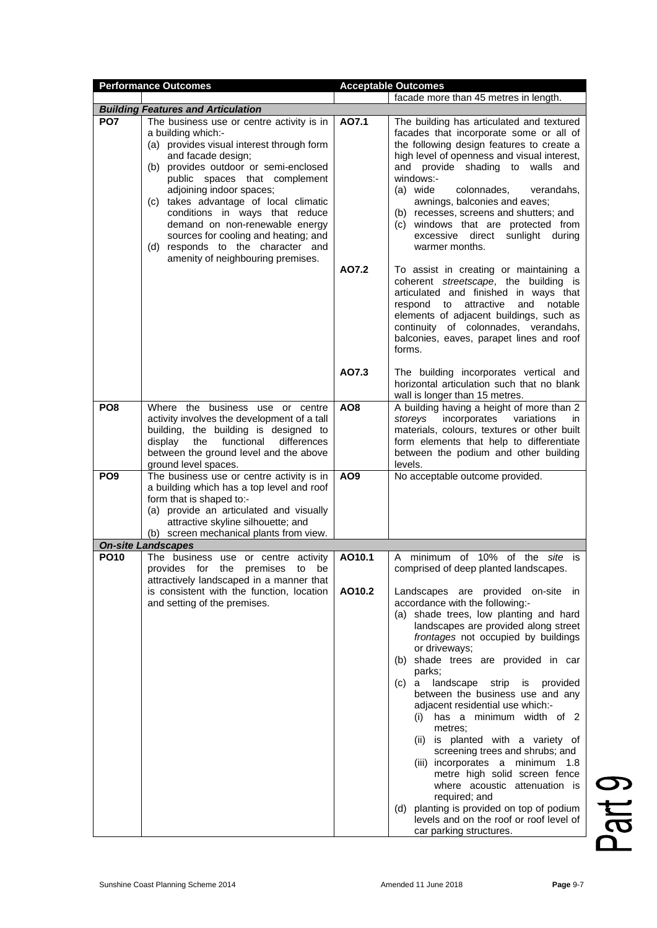|                 | <b>Performance Outcomes</b>                                                                                                                                                                                                                                                                                                                                                                                                                                             |                 | <b>Acceptable Outcomes</b>                                                                                                                                                                                                                                                                                                                                                                                                                                                                                                                                                                                                                                                                                                                                                      |
|-----------------|-------------------------------------------------------------------------------------------------------------------------------------------------------------------------------------------------------------------------------------------------------------------------------------------------------------------------------------------------------------------------------------------------------------------------------------------------------------------------|-----------------|---------------------------------------------------------------------------------------------------------------------------------------------------------------------------------------------------------------------------------------------------------------------------------------------------------------------------------------------------------------------------------------------------------------------------------------------------------------------------------------------------------------------------------------------------------------------------------------------------------------------------------------------------------------------------------------------------------------------------------------------------------------------------------|
|                 |                                                                                                                                                                                                                                                                                                                                                                                                                                                                         |                 | facade more than 45 metres in length.                                                                                                                                                                                                                                                                                                                                                                                                                                                                                                                                                                                                                                                                                                                                           |
|                 | <b>Building Features and Articulation</b>                                                                                                                                                                                                                                                                                                                                                                                                                               |                 |                                                                                                                                                                                                                                                                                                                                                                                                                                                                                                                                                                                                                                                                                                                                                                                 |
| PO <sub>7</sub> | The business use or centre activity is in<br>a building which:-<br>(a) provides visual interest through form<br>and facade design;<br>(b) provides outdoor or semi-enclosed<br>public spaces that complement<br>adjoining indoor spaces;<br>(c) takes advantage of local climatic<br>conditions in ways that reduce<br>demand on non-renewable energy<br>sources for cooling and heating; and<br>(d) responds to the character and<br>amenity of neighbouring premises. | AO7.1<br>AO7.2  | The building has articulated and textured<br>facades that incorporate some or all of<br>the following design features to create a<br>high level of openness and visual interest,<br>and provide shading to<br>walls<br>and<br>windows:-<br>(a) wide<br>colonnades.<br>verandahs,<br>awnings, balconies and eaves;<br>(b) recesses, screens and shutters; and<br>(c) windows that are protected from<br>excessive direct sunlight during<br>warmer months.<br>To assist in creating or maintaining a<br>coherent streetscape, the building is<br>articulated and finished in ways that<br>attractive<br>and<br>notable<br>respond<br>to<br>elements of adjacent buildings, such as<br>continuity of colonnades, verandahs,<br>balconies, eaves, parapet lines and roof<br>forms. |
|                 |                                                                                                                                                                                                                                                                                                                                                                                                                                                                         | AO7.3           | The building incorporates vertical and<br>horizontal articulation such that no blank<br>wall is longer than 15 metres.                                                                                                                                                                                                                                                                                                                                                                                                                                                                                                                                                                                                                                                          |
| PO <sub>8</sub> | Where the business use or centre<br>activity involves the development of a tall<br>building, the building is designed to<br>functional<br>differences<br>display<br>the<br>between the ground level and the above<br>ground level spaces.                                                                                                                                                                                                                               | AO <sub>8</sub> | A building having a height of more than 2<br>storeys<br>incorporates<br>variations<br>in.<br>materials, colours, textures or other built<br>form elements that help to differentiate<br>between the podium and other building<br>levels.                                                                                                                                                                                                                                                                                                                                                                                                                                                                                                                                        |
| PO <sub>9</sub> | The business use or centre activity is in<br>a building which has a top level and roof<br>form that is shaped to:-<br>(a) provide an articulated and visually<br>attractive skyline silhouette; and<br>(b) screen mechanical plants from view.                                                                                                                                                                                                                          | AO <sub>9</sub> | No acceptable outcome provided.                                                                                                                                                                                                                                                                                                                                                                                                                                                                                                                                                                                                                                                                                                                                                 |
|                 | <b>On-site Landscapes</b>                                                                                                                                                                                                                                                                                                                                                                                                                                               |                 |                                                                                                                                                                                                                                                                                                                                                                                                                                                                                                                                                                                                                                                                                                                                                                                 |
| <b>PO10</b>     | The business use or centre activity<br>provides<br>for<br>the<br>premises<br>be<br>to<br>attractively landscaped in a manner that                                                                                                                                                                                                                                                                                                                                       | AO10.1          | of 10%<br>of the<br>site is<br>minimum<br>A<br>comprised of deep planted landscapes.                                                                                                                                                                                                                                                                                                                                                                                                                                                                                                                                                                                                                                                                                            |
|                 | is consistent with the function, location<br>and setting of the premises.                                                                                                                                                                                                                                                                                                                                                                                               | AO10.2          | Landscapes are provided on-site in<br>accordance with the following:-<br>(a) shade trees, low planting and hard<br>landscapes are provided along street<br>frontages not occupied by buildings<br>or driveways;<br>(b) shade trees are provided in car<br>parks;<br>landscape<br>strip<br>(c)<br>is<br>provided<br>a<br>between the business use and any<br>adjacent residential use which:-<br>has a minimum width of 2<br>(i)<br>metres;<br>(ii) is planted with a variety of<br>screening trees and shrubs; and<br>(iii) incorporates a minimum 1.8<br>metre high solid screen fence<br>where acoustic attenuation is<br>required; and<br>planting is provided on top of podium<br>(d)<br>levels and on the roof or roof level of<br>car parking structures.                 |

Part 9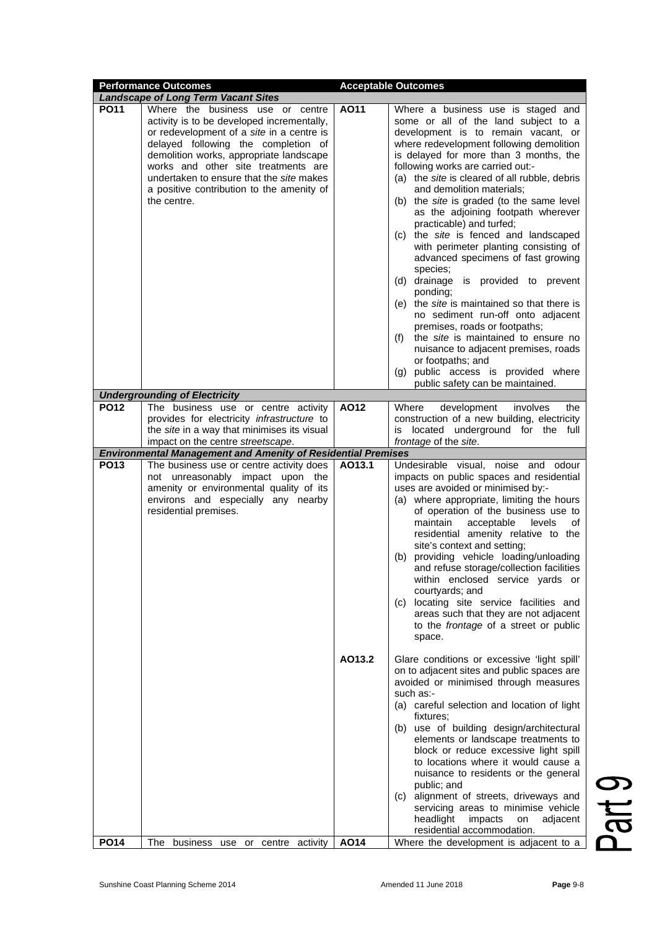|             | <b>Performance Outcomes</b>                                                                                                                                                                                                                                                                                                                                  |        | <b>Acceptable Outcomes</b>                                                                                                                                                                                                                                                                                                                                                                                                                                                                                                                                                                                                                                                                                                                                                                                                                                                                                                      |
|-------------|--------------------------------------------------------------------------------------------------------------------------------------------------------------------------------------------------------------------------------------------------------------------------------------------------------------------------------------------------------------|--------|---------------------------------------------------------------------------------------------------------------------------------------------------------------------------------------------------------------------------------------------------------------------------------------------------------------------------------------------------------------------------------------------------------------------------------------------------------------------------------------------------------------------------------------------------------------------------------------------------------------------------------------------------------------------------------------------------------------------------------------------------------------------------------------------------------------------------------------------------------------------------------------------------------------------------------|
|             | <b>Landscape of Long Term Vacant Sites</b>                                                                                                                                                                                                                                                                                                                   |        |                                                                                                                                                                                                                                                                                                                                                                                                                                                                                                                                                                                                                                                                                                                                                                                                                                                                                                                                 |
| <b>PO11</b> | Where the business use or centre<br>activity is to be developed incrementally,<br>or redevelopment of a site in a centre is<br>delayed following the completion of<br>demolition works, appropriate landscape<br>works and other site treatments are<br>undertaken to ensure that the site makes<br>a positive contribution to the amenity of<br>the centre. | AO11   | Where a business use is staged and<br>some or all of the land subject to a<br>development is to remain vacant, or<br>where redevelopment following demolition<br>is delayed for more than 3 months, the<br>following works are carried out:-<br>(a) the <i>site</i> is cleared of all rubble, debris<br>and demolition materials;<br>(b) the site is graded (to the same level<br>as the adjoining footpath wherever<br>practicable) and turfed;<br>(c) the site is fenced and landscaped<br>with perimeter planting consisting of<br>advanced specimens of fast growing<br>species;<br>(d) drainage is provided to prevent<br>ponding;<br>(e) the <i>site</i> is maintained so that there is<br>no sediment run-off onto adjacent<br>premises, roads or footpaths;<br>the <i>site</i> is maintained to ensure no<br>(f)<br>nuisance to adjacent premises, roads<br>or footpaths; and<br>public access is provided where<br>(g) |
|             |                                                                                                                                                                                                                                                                                                                                                              |        | public safety can be maintained.                                                                                                                                                                                                                                                                                                                                                                                                                                                                                                                                                                                                                                                                                                                                                                                                                                                                                                |
|             | <b>Undergrounding of Electricity</b>                                                                                                                                                                                                                                                                                                                         |        |                                                                                                                                                                                                                                                                                                                                                                                                                                                                                                                                                                                                                                                                                                                                                                                                                                                                                                                                 |
| <b>PO12</b> | The business use or centre activity                                                                                                                                                                                                                                                                                                                          | AO12   | Where<br>development<br>involves<br>the                                                                                                                                                                                                                                                                                                                                                                                                                                                                                                                                                                                                                                                                                                                                                                                                                                                                                         |
|             | provides for electricity infrastructure to                                                                                                                                                                                                                                                                                                                   |        | construction of a new building, electricity                                                                                                                                                                                                                                                                                                                                                                                                                                                                                                                                                                                                                                                                                                                                                                                                                                                                                     |
|             | the site in a way that minimises its visual                                                                                                                                                                                                                                                                                                                  |        | is located underground for the<br>full                                                                                                                                                                                                                                                                                                                                                                                                                                                                                                                                                                                                                                                                                                                                                                                                                                                                                          |
|             | impact on the centre streetscape.                                                                                                                                                                                                                                                                                                                            |        | frontage of the site.                                                                                                                                                                                                                                                                                                                                                                                                                                                                                                                                                                                                                                                                                                                                                                                                                                                                                                           |
| <b>PO13</b> | <b>Environmental Management and Amenity of Residential Premises</b>                                                                                                                                                                                                                                                                                          |        |                                                                                                                                                                                                                                                                                                                                                                                                                                                                                                                                                                                                                                                                                                                                                                                                                                                                                                                                 |
|             | The business use or centre activity does<br>not unreasonably impact upon the<br>amenity or environmental quality of its<br>environs and especially any nearby<br>residential premises.                                                                                                                                                                       | AO13.1 | Undesirable visual, noise and odour<br>impacts on public spaces and residential<br>uses are avoided or minimised by:-<br>(a) where appropriate, limiting the hours<br>of operation of the business use to<br>maintain<br>acceptable<br>levels<br>οf<br>residential amenity relative to the<br>site's context and setting;<br>providing vehicle loading/unloading<br>(b)<br>and refuse storage/collection facilities<br>within enclosed service yards or<br>courtyards; and<br>(c) locating site service facilities and<br>areas such that they are not adjacent<br>to the frontage of a street or public<br>space.                                                                                                                                                                                                                                                                                                              |
|             |                                                                                                                                                                                                                                                                                                                                                              | AO13.2 | Glare conditions or excessive 'light spill'<br>on to adjacent sites and public spaces are<br>avoided or minimised through measures<br>such as:-<br>(a) careful selection and location of light<br>fixtures;<br>(b) use of building design/architectural<br>elements or landscape treatments to<br>block or reduce excessive light spill<br>to locations where it would cause a<br>nuisance to residents or the general<br>public; and<br>(c) alignment of streets, driveways and<br>servicing areas to minimise vehicle<br>headlight<br>impacts<br>on<br>adjacent                                                                                                                                                                                                                                                                                                                                                               |
|             |                                                                                                                                                                                                                                                                                                                                                              |        | residential accommodation.                                                                                                                                                                                                                                                                                                                                                                                                                                                                                                                                                                                                                                                                                                                                                                                                                                                                                                      |
| <b>PO14</b> | The<br>business use or centre activity                                                                                                                                                                                                                                                                                                                       | AO14   | Where the development is adjacent to a                                                                                                                                                                                                                                                                                                                                                                                                                                                                                                                                                                                                                                                                                                                                                                                                                                                                                          |